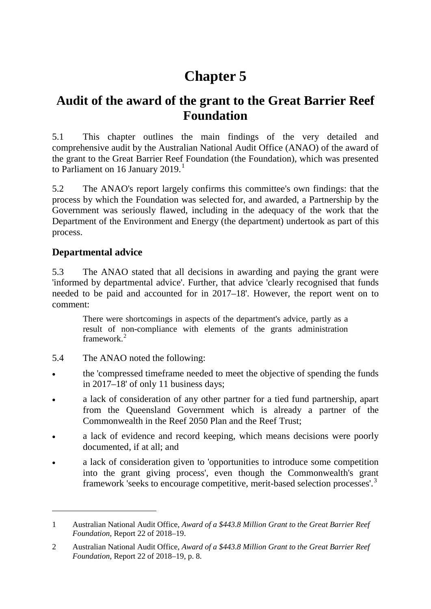# **Chapter 5**

# **Audit of the award of the grant to the Great Barrier Reef Foundation**

5.1 This chapter outlines the main findings of the very detailed and comprehensive audit by the Australian National Audit Office (ANAO) of the award of the grant to the Great Barrier Reef Foundation (the Foundation), which was presented to Parliament on [1](#page-0-0)6 January 2019.<sup>1</sup>

5.2 The ANAO's report largely confirms this committee's own findings: that the process by which the Foundation was selected for, and awarded, a Partnership by the Government was seriously flawed, including in the adequacy of the work that the Department of the Environment and Energy (the department) undertook as part of this process.

### **Departmental advice**

-

5.3 The ANAO stated that all decisions in awarding and paying the grant were 'informed by departmental advice'. Further, that advice 'clearly recognised that funds needed to be paid and accounted for in 2017–18'. However, the report went on to comment:

There were shortcomings in aspects of the department's advice, partly as a result of non-compliance with elements of the grants administration framework<sup>[2](#page-0-1)</sup>

- 5.4 The ANAO noted the following:
- the 'compressed timeframe needed to meet the objective of spending the funds in 2017–18' of only 11 business days;
- a lack of consideration of any other partner for a tied fund partnership, apart from the Queensland Government which is already a partner of the Commonwealth in the Reef 2050 Plan and the Reef Trust;
- <span id="page-0-2"></span>a lack of evidence and record keeping, which means decisions were poorly documented, if at all; and
- a lack of consideration given to 'opportunities to introduce some competition into the grant giving process', even though the Commonwealth's grant framework 'seeks to encourage competitive, merit-based selection processes'.[3](#page-0-2)

<span id="page-0-0"></span><sup>1</sup> Australian National Audit Office, *Award of a \$443.8 Million Grant to the Great Barrier Reef Foundation*, Report 22 of 2018–19.

<span id="page-0-1"></span><sup>2</sup> Australian National Audit Office, *Award of a \$443.8 Million Grant to the Great Barrier Reef Foundation*, Report 22 of 2018–19, p. 8.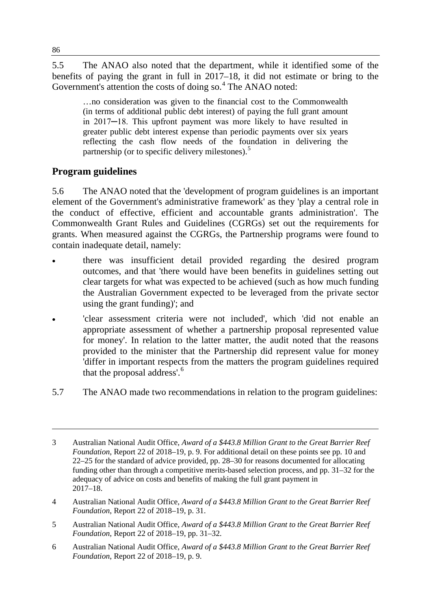5.5 The ANAO also noted that the department, while it identified some of the benefits of paying the grant in full in 2017–18, it did not estimate or bring to the Government's attention the costs of doing so.<sup>[4](#page-1-0)</sup> The ANAO noted:

…no consideration was given to the financial cost to the Commonwealth (in terms of additional public debt interest) of paying the full grant amount in 2017─18. This upfront payment was more likely to have resulted in greater public debt interest expense than periodic payments over six years reflecting the cash flow needs of the foundation in delivering the partnership (or to specific delivery milestones).<sup>[5](#page-1-1)</sup>

# **Program guidelines**

5.6 The ANAO noted that the 'development of program guidelines is an important element of the Government's administrative framework' as they 'play a central role in the conduct of effective, efficient and accountable grants administration'. The Commonwealth Grant Rules and Guidelines (CGRGs) set out the requirements for grants. When measured against the CGRGs, the Partnership programs were found to contain inadequate detail, namely:

- there was insufficient detail provided regarding the desired program outcomes, and that 'there would have been benefits in guidelines setting out clear targets for what was expected to be achieved (such as how much funding the Australian Government expected to be leveraged from the private sector using the grant funding)'; and
- 'clear assessment criteria were not included', which 'did not enable an appropriate assessment of whether a partnership proposal represented value for money'. In relation to the latter matter, the audit noted that the reasons provided to the minister that the Partnership did represent value for money 'differ in important respects from the matters the program guidelines required that the proposal address'.<sup>[6](#page-1-2)</sup>
- 5.7 The ANAO made two recommendations in relation to the program guidelines:

- <span id="page-1-0"></span>4 Australian National Audit Office, *Award of a \$443.8 Million Grant to the Great Barrier Reef Foundation*, Report 22 of 2018–19, p. 31.
- <span id="page-1-1"></span>5 Australian National Audit Office, *Award of a \$443.8 Million Grant to the Great Barrier Reef Foundation*, Report 22 of 2018–19, pp. 31–32.
- <span id="page-1-2"></span>6 Australian National Audit Office, *Award of a \$443.8 Million Grant to the Great Barrier Reef Foundation*, Report 22 of 2018–19, p. 9.

<sup>3</sup> Australian National Audit Office, *Award of a \$443.8 Million Grant to the Great Barrier Reef Foundation*, Report 22 of 2018–19, p. 9. For additional detail on these points see pp. 10 and 22–25 for the standard of advice provided, pp. 28–30 for reasons documented for allocating funding other than through a competitive merits-based selection process, and pp. 31–32 for the adequacy of advice on costs and benefits of making the full grant payment in  $2017 - 18$ .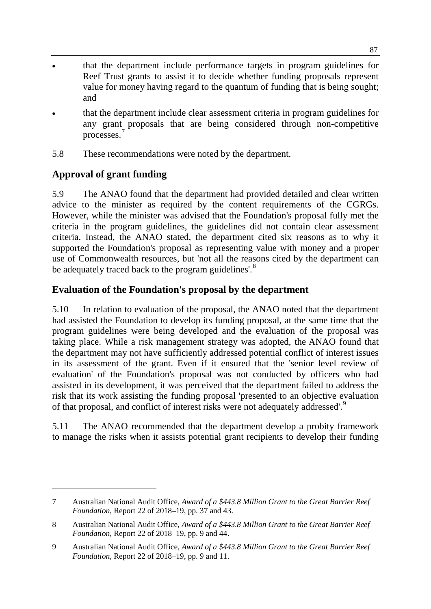- that the department include performance targets in program guidelines for Reef Trust grants to assist it to decide whether funding proposals represent value for money having regard to the quantum of funding that is being sought; and
- that the department include clear assessment criteria in program guidelines for any grant proposals that are being considered through non-competitive processes.<sup>[7](#page-2-0)</sup>
- 5.8 These recommendations were noted by the department.

# **Approval of grant funding**

-

5.9 The ANAO found that the department had provided detailed and clear written advice to the minister as required by the content requirements of the CGRGs. However, while the minister was advised that the Foundation's proposal fully met the criteria in the program guidelines, the guidelines did not contain clear assessment criteria. Instead, the ANAO stated, the department cited six reasons as to why it supported the Foundation's proposal as representing value with money and a proper use of Commonwealth resources, but 'not all the reasons cited by the department can be adequately traced back to the program guidelines'.<sup>[8](#page-2-1)</sup>

# **Evaluation of the Foundation's proposal by the department**

5.10 In relation to evaluation of the proposal, the ANAO noted that the department had assisted the Foundation to develop its funding proposal, at the same time that the program guidelines were being developed and the evaluation of the proposal was taking place. While a risk management strategy was adopted, the ANAO found that the department may not have sufficiently addressed potential conflict of interest issues in its assessment of the grant. Even if it ensured that the 'senior level review of evaluation' of the Foundation's proposal was not conducted by officers who had assisted in its development, it was perceived that the department failed to address the risk that its work assisting the funding proposal 'presented to an objective evaluation of that proposal, and conflict of interest risks were not adequately addressed'.<sup>[9](#page-2-2)</sup>

5.11 The ANAO recommended that the department develop a probity framework to manage the risks when it assists potential grant recipients to develop their funding

<span id="page-2-0"></span><sup>7</sup> Australian National Audit Office, *Award of a \$443.8 Million Grant to the Great Barrier Reef Foundation*, Report 22 of 2018–19, pp. 37 and 43.

<span id="page-2-1"></span><sup>8</sup> Australian National Audit Office, *Award of a \$443.8 Million Grant to the Great Barrier Reef Foundation*, Report 22 of 2018–19, pp. 9 and 44.

<span id="page-2-2"></span><sup>9</sup> Australian National Audit Office, *Award of a \$443.8 Million Grant to the Great Barrier Reef Foundation*, Report 22 of 2018–19, pp. 9 and 11.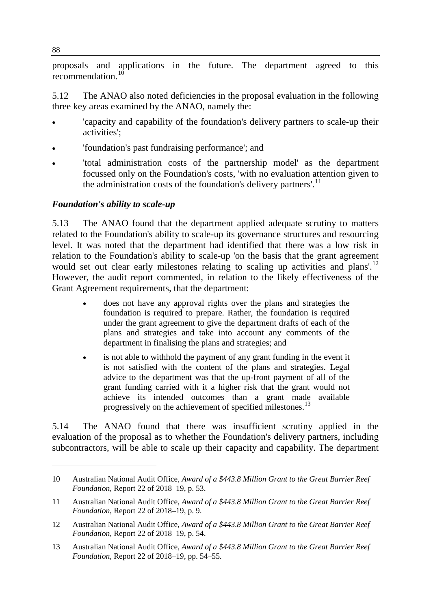proposals and applications in the future. The department agreed to this recommendation.<sup>[10](#page-3-0)</sup>

5.12 The ANAO also noted deficiencies in the proposal evaluation in the following three key areas examined by the ANAO, namely the:

- 'capacity and capability of the foundation's delivery partners to scale-up their activities';
- 'foundation's past fundraising performance'; and
- 'total administration costs of the partnership model' as the department focussed only on the Foundation's costs, 'with no evaluation attention given to the administration costs of the foundation's delivery partners'.<sup>[11](#page-3-1)</sup>

#### *Foundation's ability to scale-up*

5.13 The ANAO found that the department applied adequate scrutiny to matters related to the Foundation's ability to scale-up its governance structures and resourcing level. It was noted that the department had identified that there was a low risk in relation to the Foundation's ability to scale-up 'on the basis that the grant agreement would set out clear early milestones relating to scaling up activities and plans'.<sup>[12](#page-3-2)</sup> However, the audit report commented, in relation to the likely effectiveness of the Grant Agreement requirements, that the department:

- does not have any approval rights over the plans and strategies the foundation is required to prepare. Rather, the foundation is required under the grant agreement to give the department drafts of each of the plans and strategies and take into account any comments of the department in finalising the plans and strategies; and
- is not able to withhold the payment of any grant funding in the event it is not satisfied with the content of the plans and strategies. Legal advice to the department was that the up-front payment of all of the grant funding carried with it a higher risk that the grant would not achieve its intended outcomes than a grant made available progressively on the achievement of specified milestones.<sup>[13](#page-3-3)</sup>

5.14 The ANAO found that there was insufficient scrutiny applied in the evaluation of the proposal as to whether the Foundation's delivery partners, including subcontractors, will be able to scale up their capacity and capability. The department

<span id="page-3-0"></span><sup>10</sup> Australian National Audit Office, *Award of a \$443.8 Million Grant to the Great Barrier Reef Foundation*, Report 22 of 2018–19, p. 53.

<span id="page-3-1"></span><sup>11</sup> Australian National Audit Office, *Award of a \$443.8 Million Grant to the Great Barrier Reef Foundation*, Report 22 of 2018–19, p. 9.

<span id="page-3-2"></span><sup>12</sup> Australian National Audit Office, *Award of a \$443.8 Million Grant to the Great Barrier Reef Foundation*, Report 22 of 2018–19, p. 54.

<span id="page-3-3"></span><sup>13</sup> Australian National Audit Office, *Award of a \$443.8 Million Grant to the Great Barrier Reef Foundation*, Report 22 of 2018–19, pp. 54–55.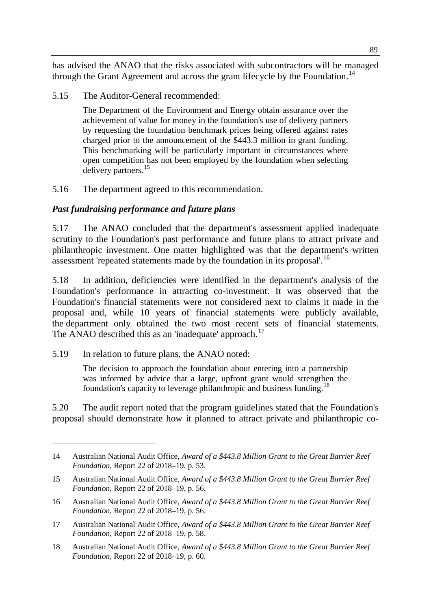has advised the ANAO that the risks associated with subcontractors will be managed through the Grant Agreement and across the grant lifecycle by the Foundation.<sup>[14](#page-4-0)</sup>

5.15 The Auditor-General recommended:

The Department of the Environment and Energy obtain assurance over the achievement of value for money in the foundation's use of delivery partners by requesting the foundation benchmark prices being offered against rates charged prior to the announcement of the \$443.3 million in grant funding. This benchmarking will be particularly important in circumstances where open competition has not been employed by the foundation when selecting delivery partners.<sup>[15](#page-4-1)</sup>

5.16 The department agreed to this recommendation.

#### *Past fundraising performance and future plans*

5.17 The ANAO concluded that the department's assessment applied inadequate scrutiny to the Foundation's past performance and future plans to attract private and philanthropic investment. One matter highlighted was that the department's written assessment 'repeated statements made by the foundation in its proposal'.[16](#page-4-2)

5.18 In addition, deficiencies were identified in the department's analysis of the Foundation's performance in attracting co-investment. It was observed that the Foundation's financial statements were not considered next to claims it made in the proposal and, while 10 years of financial statements were publicly available, the department only obtained the two most recent sets of financial statements. The ANAO described this as an 'inadequate' approach.<sup>[17](#page-4-3)</sup>

5.19 In relation to future plans, the ANAO noted:

-

The decision to approach the foundation about entering into a partnership was informed by advice that a large, upfront grant would strengthen the foundation's capacity to leverage philanthropic and business funding.<sup>[18](#page-4-4)</sup>

5.20 The audit report noted that the program guidelines stated that the Foundation's proposal should demonstrate how it planned to attract private and philanthropic co-

<span id="page-4-0"></span><sup>14</sup> Australian National Audit Office, *Award of a \$443.8 Million Grant to the Great Barrier Reef Foundation*, Report 22 of 2018–19, p. 53.

<span id="page-4-1"></span><sup>15</sup> Australian National Audit Office, *Award of a \$443.8 Million Grant to the Great Barrier Reef Foundation*, Report 22 of 2018–19, p. 56.

<span id="page-4-2"></span><sup>16</sup> Australian National Audit Office, *Award of a \$443.8 Million Grant to the Great Barrier Reef Foundation*, Report 22 of 2018–19, p. 56.

<span id="page-4-3"></span><sup>17</sup> Australian National Audit Office, *Award of a \$443.8 Million Grant to the Great Barrier Reef Foundation*, Report 22 of 2018–19, p. 58.

<span id="page-4-4"></span><sup>18</sup> Australian National Audit Office, *Award of a \$443.8 Million Grant to the Great Barrier Reef Foundation*, Report 22 of 2018–19, p. 60.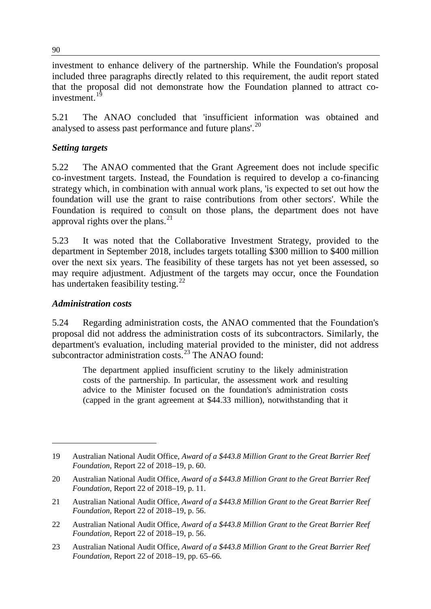investment to enhance delivery of the partnership. While the Foundation's proposal included three paragraphs directly related to this requirement, the audit report stated that the proposal did not demonstrate how the Foundation planned to attract coinvestment. $1$ 

5.21 The ANAO concluded that 'insufficient information was obtained and analysed to assess past performance and future plans'.<sup>[20](#page-5-1)</sup>

#### *Setting targets*

5.22 The ANAO commented that the Grant Agreement does not include specific co-investment targets. Instead, the Foundation is required to develop a co-financing strategy which, in combination with annual work plans, 'is expected to set out how the foundation will use the grant to raise contributions from other sectors'. While the Foundation is required to consult on those plans, the department does not have approval rights over the plans. $^{21}$  $^{21}$  $^{21}$ 

5.23 It was noted that the Collaborative Investment Strategy, provided to the department in September 2018, includes targets totalling \$300 million to \$400 million over the next six years. The feasibility of these targets has not yet been assessed, so may require adjustment. Adjustment of the targets may occur, once the Foundation has undertaken feasibility testing.<sup>[22](#page-5-3)</sup>

#### *Administration costs*

-

5.24 Regarding administration costs, the ANAO commented that the Foundation's proposal did not address the administration costs of its subcontractors. Similarly, the department's evaluation, including material provided to the minister, did not address subcontractor administration costs.<sup>[23](#page-5-4)</sup> The ANAO found:

The department applied insufficient scrutiny to the likely administration costs of the partnership. In particular, the assessment work and resulting advice to the Minister focused on the foundation's administration costs (capped in the grant agreement at \$44.33 million), notwithstanding that it

<span id="page-5-0"></span><sup>19</sup> Australian National Audit Office, *Award of a \$443.8 Million Grant to the Great Barrier Reef Foundation*, Report 22 of 2018–19, p. 60.

<span id="page-5-1"></span><sup>20</sup> Australian National Audit Office, *Award of a \$443.8 Million Grant to the Great Barrier Reef Foundation*, Report 22 of 2018–19, p. 11.

<span id="page-5-2"></span><sup>21</sup> Australian National Audit Office, *Award of a \$443.8 Million Grant to the Great Barrier Reef Foundation*, Report 22 of 2018–19, p. 56.

<span id="page-5-3"></span><sup>22</sup> Australian National Audit Office, *Award of a \$443.8 Million Grant to the Great Barrier Reef Foundation*, Report 22 of 2018–19, p. 56.

<span id="page-5-4"></span><sup>23</sup> Australian National Audit Office, *Award of a \$443.8 Million Grant to the Great Barrier Reef Foundation*, Report 22 of 2018–19, pp. 65–66.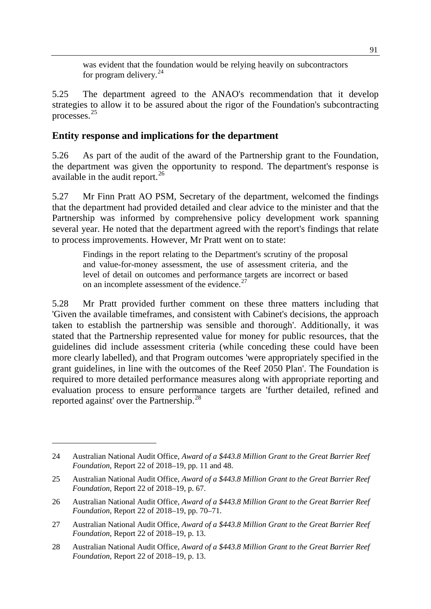was evident that the foundation would be relying heavily on subcontractors for program delivery. $^{24}$  $^{24}$  $^{24}$ 

5.25 The department agreed to the ANAO's recommendation that it develop strategies to allow it to be assured about the rigor of the Foundation's subcontracting processes.[25](#page-6-1)

#### **Entity response and implications for the department**

5.26 As part of the audit of the award of the Partnership grant to the Foundation, the department was given the opportunity to respond. The department's response is available in the audit report. $^{26}$  $^{26}$  $^{26}$ 

5.27 Mr Finn Pratt AO PSM, Secretary of the department, welcomed the findings that the department had provided detailed and clear advice to the minister and that the Partnership was informed by comprehensive policy development work spanning several year. He noted that the department agreed with the report's findings that relate to process improvements. However, Mr Pratt went on to state:

Findings in the report relating to the Department's scrutiny of the proposal and value-for-money assessment, the use of assessment criteria, and the level of detail on outcomes and performance targets are incorrect or based on an incomplete assessment of the evidence.<sup>[27](#page-6-3)</sup>

5.28 Mr Pratt provided further comment on these three matters including that 'Given the available timeframes, and consistent with Cabinet's decisions, the approach taken to establish the partnership was sensible and thorough'. Additionally, it was stated that the Partnership represented value for money for public resources, that the guidelines did include assessment criteria (while conceding these could have been more clearly labelled), and that Program outcomes 'were appropriately specified in the grant guidelines, in line with the outcomes of the Reef 2050 Plan'. The Foundation is required to more detailed performance measures along with appropriate reporting and evaluation process to ensure performance targets are 'further detailed, refined and reported against' over the Partnership.<sup>[28](#page-6-4)</sup>

<span id="page-6-0"></span><sup>24</sup> Australian National Audit Office, *Award of a \$443.8 Million Grant to the Great Barrier Reef Foundation*, Report 22 of 2018–19, pp. 11 and 48.

<span id="page-6-1"></span><sup>25</sup> Australian National Audit Office, *Award of a \$443.8 Million Grant to the Great Barrier Reef Foundation*, Report 22 of 2018–19, p. 67.

<span id="page-6-2"></span><sup>26</sup> Australian National Audit Office, *Award of a \$443.8 Million Grant to the Great Barrier Reef Foundation*, Report 22 of 2018–19, pp. 70–71.

<span id="page-6-3"></span><sup>27</sup> Australian National Audit Office, *Award of a \$443.8 Million Grant to the Great Barrier Reef Foundation*, Report 22 of 2018–19, p. 13.

<span id="page-6-4"></span><sup>28</sup> Australian National Audit Office, *Award of a \$443.8 Million Grant to the Great Barrier Reef Foundation*, Report 22 of 2018–19, p. 13.